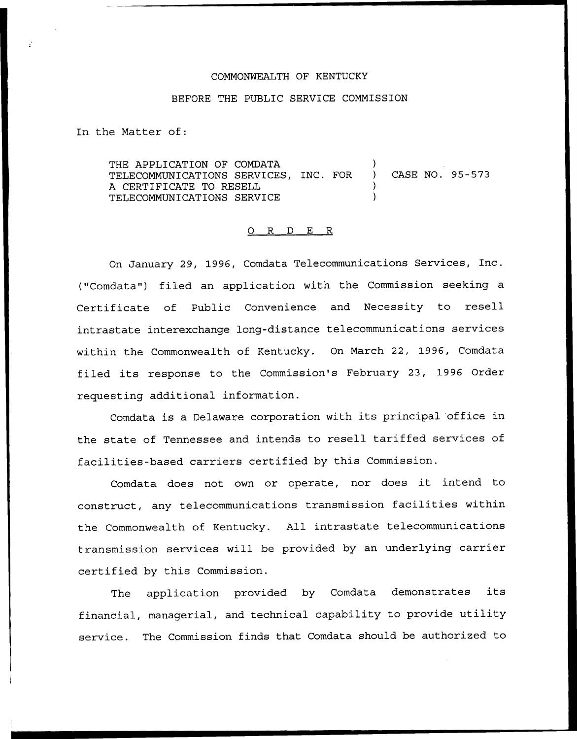## COMMONWEALTH OF KENTUCKY

## BEFORE THE PUBLIC SERVICE COMMISSION

In the Matter of:

THE APPLICATION OF COMDATA TELECOMMUNICATIONS SERVICES, INC. FOR ) CASE NO. 95-573 A CERTIFICATE TO RESELL ) TELECOMMUNICATIONS SERVICE )

## 0 R <sup>D</sup> E R

On January 29, 1996, Comdata Telecommunications Services, Inc. ("Comdata") filed an application with the Commission seeking a Certificate of Public Convenience and Necessity to resell intrastate interexchange long-distance telecommunications services within the Commonwealth of Kentucky. On March 22, 1996, Comdata filed its response to the Commission's February 23, 1996 Order requesting additional information.

Comdata is <sup>a</sup> Delaware corporation with its principal office in the state of Tennessee and intends to resell tariffed services of facilities-based carriers certified by this Commission.

Comdata does not own or operate, nor does it intend to construct, any telecommunications transmission facilities within the Commonwealth of Kentucky. All intrastate telecommunications transmission services will be provided by an underlying carrier certified by this Commission.

The application provided by Comdata demonstrates its financial, managerial, and technical capability to provide utility service. The Commission finds that Comdata should be authorized to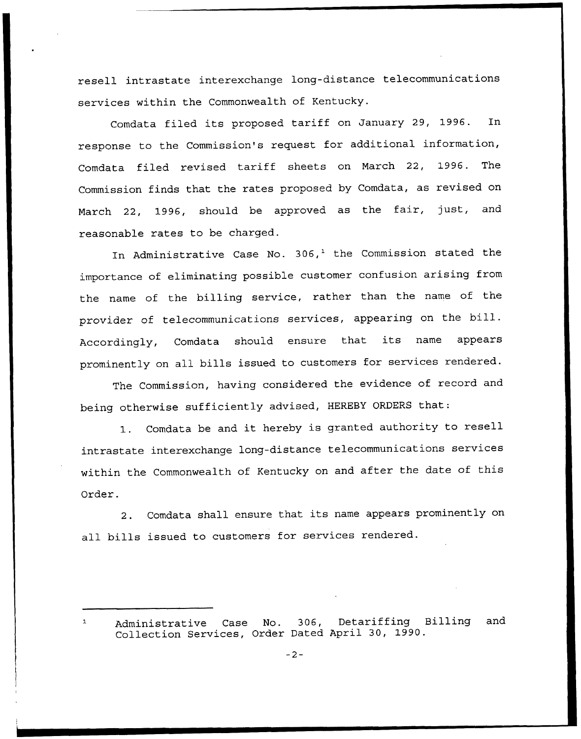resell intrastate interexchange long-distance telecommunications services within the Commonwealth of Kentucky.

Comdata filed its proposed tariff on January 29, 1996. In response to the Commission's request for additional information, Comdata filed revised tariff sheets on March 22, 1996. The Commission finds that the rates proposed by Comdata, as revised on March 22, 1996, should be approved as the fair, just, and reasonable rates to be charged.

In Administrative Case No.  $306<sup>1</sup>$  the Commission stated the importance of eliminating possible customer confusion arising from the name of the billing service, rather than the name of the provider of telecommunications services, appearing on the bill. Accordingly, Comdata should ensure that its name appears prominently on all bills issued to customers for services rendered.

The Commission, having considered the evidence of record and being otherwise sufficiently advised, HEREBY ORDERS that:

1. Comdata be and it hereby is granted authority to resell intrastate interexchange long-distance telecommunications services within the Commonwealth of Kentucky on and after the date of this Order.

2. Comdata shall ensure that its name appears prominently on all bills issued to customers for services rendered.

Administrative Case No. 306, Detariffing Billing and Collection Services, Order Dated April 30, 1990.